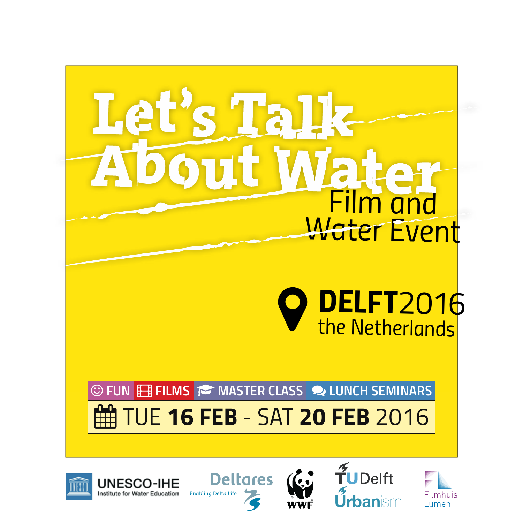



**UNESCO-IHE** 

**Institute for Water Education** 







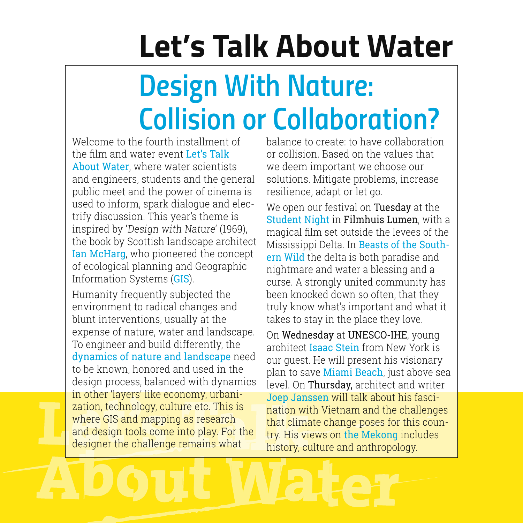# **Let's Talk About Water**

# *Design With Nature: Collision or Collaboration?*

Welcome to the fourth installment of the film and water event Let's Talk About Water, where water scientists and engineers, students and the general public meet and the power of cinema is used to inform, spark dialogue and electrify discussion. This year's theme is inspired by 'Design with Nature' (1969), the book by Scottish landscape architect Ian McHarg, who pioneered the concept of ecological planning and Geographic Information Systems (GIS).

Humanity frequently subjected the environment to radical changes and blunt interventions, usually at the expense of nature, water and landscape. To engineer and build differently, the dynamics of nature and landscape need to be known, honored and used in the design process, balanced with dynamics in other 'layers' like economy, urbanization, technology, culture etc. This is where GIS and mapping as research and design tools come into play. For the designer the challenge remains what

balance to create: to have collaboration or collision. Based on the values that we deem important we choose our solutions. Mitigate problems, increase resilience, adapt or let go.

We open our festival on Tuesday at the Student Night in Filmhuis Lumen, with a magical film set outside the levees of the Mississippi Delta. In Beasts of the Southern Wild the delta is both paradise and nightmare and water a blessing and a curse. A strongly united community has been knocked down so often, that they truly know what's important and what it takes to stay in the place they love.

On Wednesday at UNESCO-IHE, young architect Isaac Stein from New York is our guest. He will present his visionary plan to save Miami Beach, just above sea level. On Thursday, architect and writer Joep Janssen will talk about his fascination with Vietnam and the challenges that climate change poses for this country. His views on the Mekong includes history, culture and anthropology.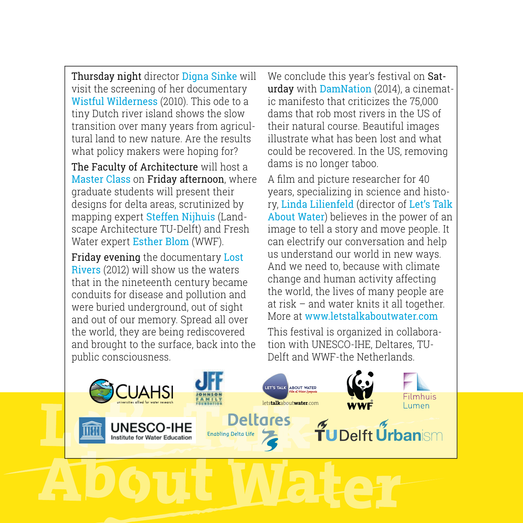Thursday night director Digna Sinke will visit the screening of her documentary Wistful Wilderness (2010). This ode to a tiny Dutch river island shows the slow transition over many years from agricultural land to new nature. Are the results what policy makers were hoping for?

The Faculty of Architecture will host a Master Class on Friday afternoon, where graduate students will present their designs for delta areas, scrutinized by mapping expert Steffen Nijhuis (Landscape Architecture TU-Delft) and Fresh Water expert Esther Blom (WWF).

Friday evening the documentary Lost Rivers (2012) will show us the waters that in the nineteenth century became conduits for disease and pollution and were buried underground, out of sight and out of our memory. Spread all over the world, they are being rediscovered and brought to the surface, back into the public consciousness.

We conclude this year's festival on Saturday with DamNation (2014), a cinematic manifesto that criticizes the 75,000 dams that rob most rivers in the US of their natural course. Beautiful images illustrate what has been lost and what could be recovered. In the US, removing dams is no longer taboo.

A film and picture researcher for 40 years, specializing in science and history, Linda Lilienfeld (director of Let's Talk About Water) believes in the power of an image to tell a story and move people. It can electrify our conversation and help us understand our world in new ways. And we need to, because with climate change and human activity affecting the world, the lives of many people are at risk – and water knits it all together. More at www.letstalkaboutwater.com

This festival is organized in collaboration with UNESCO-IHE, Deltares, TU-Delft and WWF-the Netherlands.

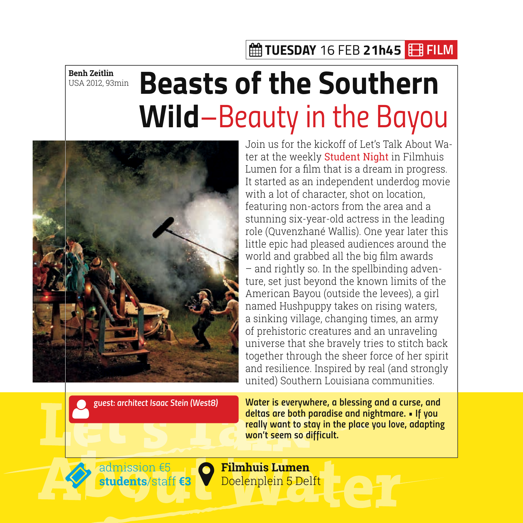### *TUESDAY 16 FEB 21h45 FILM*

**Benh Zeitlin** USA 2012, 93min

# **Beasts of the Southern Wild***–Beauty in the Bayou*



Join us for the kickoff of Let's Talk About Water at the weekly **Student Night** in Filmhuis Lumen for a film that is a dream in progress. It started as an independent underdog movie with a lot of character, shot on location, featuring non-actors from the area and a stunning six-year-old actress in the leading role (Quvenzhané Wallis). One year later this little epic had pleased audiences around the world and grabbed all the big film awards – and rightly so. In the spellbinding adventure, set just beyond the known limits of the American Bayou (outside the levees), a girl named Hushpuppy takes on rising waters. a sinking village, changing times, an army of prehistoric creatures and an unraveling universe that she bravely tries to stitch back together through the sheer force of her spirit and resilience. Inspired by real (and strongly united) Southern Louisiana communities.

*guest: architect Isaac Stein (West8)*

*Water is everywhere, a blessing and a curse, and*  **deltas are both paradise and nightmare. • If you**  *really want to stay in the place you love, adapting*  **won't seem so difficult.** 



admission €5 **students**/staff **€3**

**Filmhuis Lumen** Doelenplein 5 Delft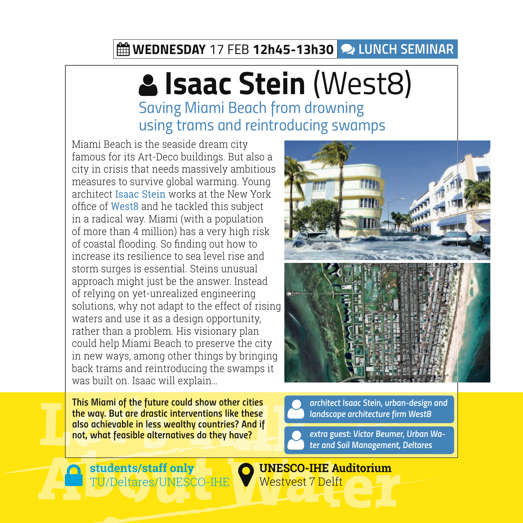### *WEDNESDAY 17 FEB 12h45-13h30 LUnCH SEMINAR*

# **Isaac Stein** (West8)

*Saving Miami Beach from drowning using trams and reintroducing swamps*

Miami Beach is the seaside dream city famous for its Art-Deco buildings. But also a city in crisis that needs massively ambitious measures to survive global warming. Young architect Isaac Stein works at the New York office of West8 and he tackled this subject in a radical way. Miami (with a population of more than 4 million) has a very high risk of coastal flooding. So finding out how to increase its resilience to sea level rise and storm surges is essential. Steins unusual approach might just be the answer. Instead of relying on yet-unrealized engineering solutions, why not adapt to the effect of rising waters and use it as a design opportunity, rather than a problem. His visionary plan could help Miami Beach to preserve the city in new ways, among other things by bringing back trams and reintroducing the swamps it was built on. Isaac will explain…

**This Miami of the future could show other cities**  *the way. But are drastic interventions like these*  **also achievable in less wealthy countries? And if not, what feasible alternatives do they have?** *extra guest: Victor Beumer, Urban Wa-*

**Students/staff only**<br>
TU/Deltares/UNESCO-IHE



*architect Isaac Stein, urban-design and*  **landscape architecture firm West8**

*ter and Soil Management, Deltares*

#### **UNESCO-IHE Auditorium** Westvest 7 Delft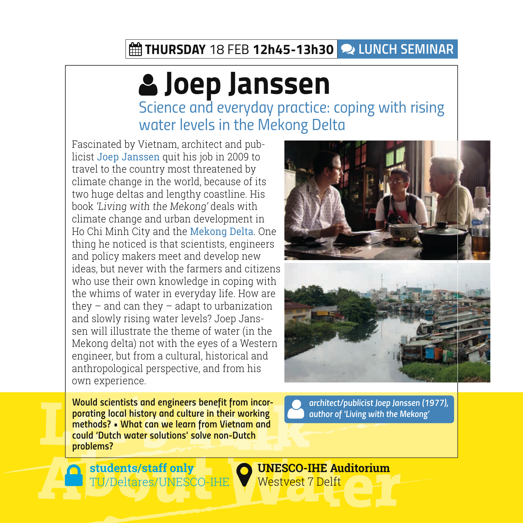### *THURSDAY 18 FEB 12h45-13h30 LUnCH SEMINAR*

## **Joep Janssen** *Science and everyday practice: coping with rising water levels in the Mekong Delta*

Fascinated by Vietnam, architect and publicist Joep Janssen quit his job in 2009 to travel to the country most threatened by climate change in the world, because of its two huge deltas and lengthy coastline. His book 'Living with the Mekong' deals with climate change and urban development in Ho Chi Minh City and the Mekong Delta. One thing he noticed is that scientists, engineers and policy makers meet and develop new ideas, but never with the farmers and citizens who use their own knowledge in coping with the whims of water in everyday life. How are they – and can they – adapt to urbanization and slowly rising water levels? Joep Janssen will illustrate the theme of water (in the Mekong delta) not with the eyes of a Western engineer, but from a cultural, historical and anthropological perspective, and from his own experience.



**Would scientists and engineers benefit from incor***porating local history and culture in their working*  **methods? • What can we learn from Vietnam and**  *could 'Dutch water solutions' solve non-Dutch problems?*

*architect/publicist Joep Janssen (1977),*  **author of 'Living with the Mekong'** 

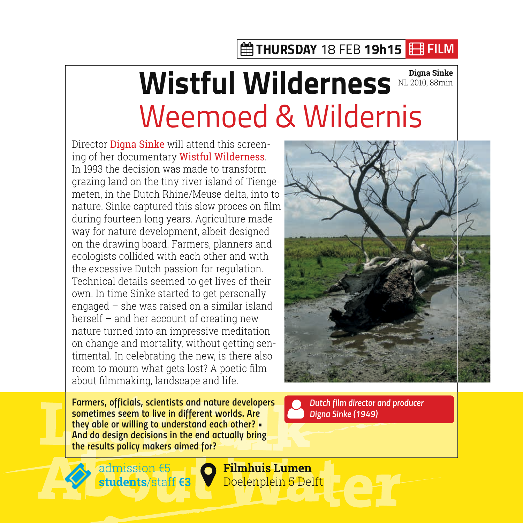### *THURSDAY 18 FEB 19h15 FILM*

## **Wistful Wilderness** NL 2010, 88min Weemoed & Wildernis NL 2010, 88min

Director Digna Sinke will attend this screening of her documentary Wistful Wilderness. In 1993 the decision was made to transform grazing land on the tiny river island of Tiengemeten, in the Dutch Rhine/Meuse delta, into to nature. Sinke captured this slow proces on film during fourteen long years. Agriculture made way for nature development, albeit designed on the drawing board. Farmers, planners and ecologists collided with each other and with the excessive Dutch passion for regulation. Technical details seemed to get lives of their own. In time Sinke started to get personally engaged – she was raised on a similar island herself – and her account of creating new nature turned into an impressive meditation on change and mortality, without getting sentimental. In celebrating the new, is there also room to mourn what gets lost? A poetic film about filmmaking, landscape and life.

 **Dutch film director and producer**  *Digna Sinke (1949)*

**Farmers, officials, scientists and nature developers sometimes seem to live in different worlds. Are they able or willing to understand each other? •**  *And do design decisions in the end actually bring*  **the results policy makers aimed for?**



**Explore Strategier & Strategier & Strategier & Strategier & Spelft students**/staff **€3**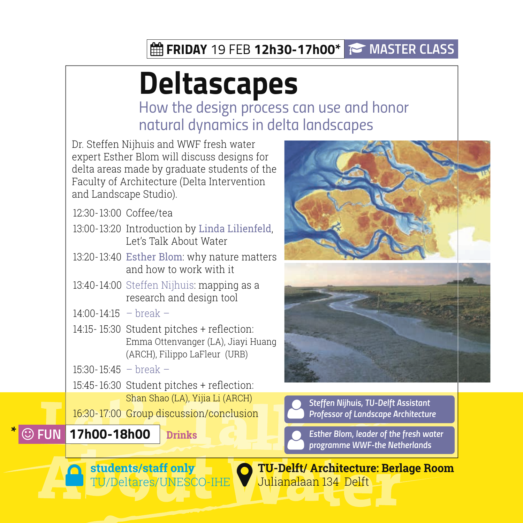### *FRIDAY 19 FEB 12h30-17h00\* master class*

# **Deltascapes**

*How the design process can use and honor natural dynamics in delta landscapes*

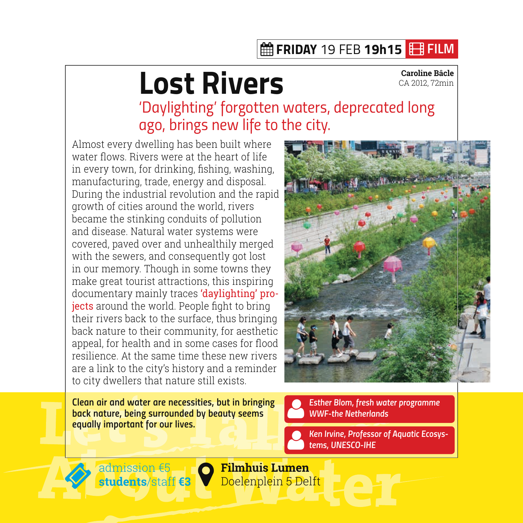### *FRIDAY 19 FEB 19h15 FILM*

# **Lost Rivers**

**Caroline Bâcle** CA 2012, 72min

*'Daylighting' forgotten waters, deprecated long ago, brings new life to the city.*

Almost every dwelling has been built where water flows. Rivers were at the heart of life in every town, for drinking, fishing, washing, manufacturing, trade, energy and disposal. During the industrial revolution and the rapid growth of cities around the world, rivers became the stinking conduits of pollution and disease. Natural water systems were covered, paved over and unhealthily merged with the sewers, and consequently got lost in our memory. Though in some towns they make great tourist attractions, this inspiring documentary mainly traces 'daylighting' projects around the world. People fight to bring their rivers back to the surface, thus bringing back nature to their community, for aesthetic appeal, for health and in some cases for flood resilience. At the same time these new rivers are a link to the city's history and a reminder to city dwellers that nature still exists.



*Clean air and water are necessities, but in bringing back nature, being surrounded by beauty seems*  **equally important for our lives.**

 **Esther Blom, fresh water programme**  *WWF-the Netherlands*

 **Ken Irvine, Professor of Aquatic Ecosys***tems, UNESCO-IHE*



 **Filmhuis Lumen** Doelenplein 5 Delft **students**/staff **€3** admission €5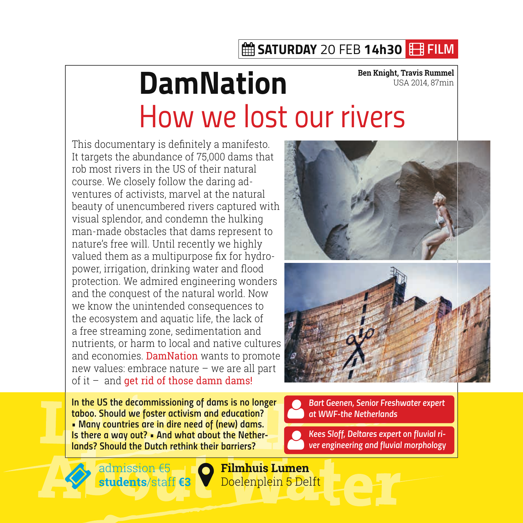### *SATURDAY 20 FEB 14h30 FILM*

#### **DamNation** *How we lost our rivers*  **Ben Knight, Travis Rummel** USA 2014, 87min

This documentary is definitely a manifesto. It targets the abundance of 75,000 dams that rob most rivers in the US of their natural course. We closely follow the daring adventures of activists, marvel at the natural beauty of unencumbered rivers captured with visual splendor, and condemn the hulking man-made obstacles that dams represent to nature's free will. Until recently we highly valued them as a multipurpose fix for hydropower, irrigation, drinking water and flood protection. We admired engineering wonders and the conquest of the natural world. Now we know the unintended consequences to the ecosystem and aquatic life, the lack of a free streaming zone, sedimentation and nutrients, or harm to local and native cultures and economies. DamNation wants to promote new values: embrace nature – we are all part of it – and get rid of those damn dams!

**In the US the decommissioning of dams is no longer taboo. Should we foster activism and education? • Many countries are in dire need of (new) dams. Is there a way out? • And what about the Nether***lands? Should the Dutch rethink their barriers?*



**Kees Sloff, Deltares expert on fluvial ri***-***ver engineering and fluvial morphology**



 **Filmhuis Lumen** Doelenplein 5 Delft **students**/staff **€3** admission €5 — I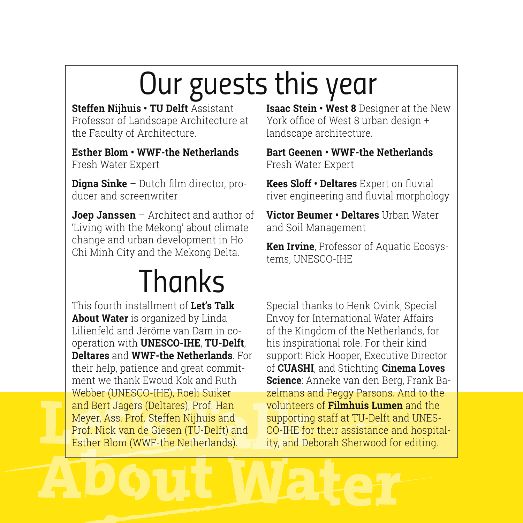# *Our guests this year*

**Steffen Nijhuis • TU Delft** Assistant Professor of Landscape Architecture at the Faculty of Architecture.

**Esther Blom • WWF-the Netherlands** Fresh Water Expert

**Digna Sinke** – Dutch film director, producer and screenwriter

**Joep Janssen** – Architect and author of 'Living with the Mekong' about climate change and urban development in Ho Chi Minh City and the Mekong Delta.

# *Thanks*

This fourth installment of **Let's Talk About Water** is organized by Linda Lilienfeld and Jérôme van Dam in cooperation with **UNESCO-IHE**, **TU-Delft**, **Deltares** and **WWF-the Netherlands**. For their help, patience and great commitment we thank Ewoud Kok and Ruth Webber (UNESCO-IHE), Roeli Suiker and Bert Jagers (Deltares), Prof. Han Meyer, Ass. Prof. Steffen Nijhuis and Prof. Nick van de Giesen (TU-Delft) and Esther Blom (WWF-the Netherlands).

**Isaac Stein • West 8** Designer at the New York office of West 8 urban design + landscape architecture.

**Bart Geenen • WWF-the Netherlands** Fresh Water Expert

**Kees Sloff • Deltares** Expert on fluvial river engineering and fluvial morphology

**Victor Beumer • Deltares** Urban Water and Soil Management

**Ken Irvine**, Professor of Aquatic Ecosystems, UNESCO-IHE

Special thanks to Henk Ovink, Special Envoy for International Water Affairs of the Kingdom of the Netherlands, for his inspirational role. For their kind support: Rick Hooper, Executive Director of **CUASHI**, and Stichting **Cinema Loves Science**: Anneke van den Berg, Frank Bazelmans and Peggy Parsons. And to the volunteers of **Filmhuis Lumen** and the supporting staff at TU-Delft and UNES-CO-IHE for their assistance and hospitality, and Deborah Sherwood for editing.